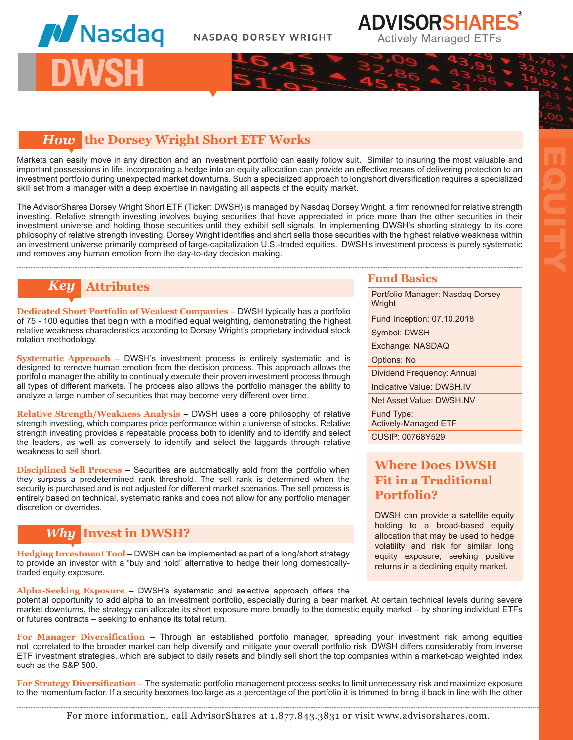

## *How* **the Dorsey Wright Short ETF Works**

Markets can easily move in any direction and an investment portfolio can easily follow suit. Similar to insuring the most valuable and important possessions in life, incorporating a hedge into an equity allocation can provide an effective means of delivering protection to an investment portfolio during unexpected market downturns. Such a specialized approach to long/short diversification requires a specialized skill set from a manager with a deep expertise in navigating all aspects of the equity market.

The AdvisorShares Dorsey Wright Short ETF (Ticker: DWSH) is managed by Nasdaq Dorsey Wright, a firm renowned for relative strength investing. Relative strength investing involves buying securities that have appreciated in price more than the other securities in their investment universe and holding those securities until they exhibit sell signals. In implementing DWSH's shorting strategy to its core philosophy of relative strength investing, Dorsey Wright identifies and short sells those securities with the highest relative weakness within an investment universe primarily comprised of large-capitalization U.S.-traded equities. DWSH's investment process is purely systematic and removes any human emotion from the day-to-day decision making.

# *Key* **Attributes <b>Fund Basics Fund Basics**

**Dedicated Short Portfolio of Weakest Companies** – DWSH typically has a portfolio of 75 - 100 equities that begin with a modified equal weighting, demonstrating the highest relative weakness characteristics according to Dorsey Wright's proprietary individual stock rotation methodology.

**Systematic Approach** – DWSH's investment process is entirely systematic and is designed to remove human emotion from the decision process. This approach allows the portfolio manager the ability to continually execute their proven investment process through all types of different markets. The process also allows the portfolio manager the ability to analyze a large number of securities that may become very different over time.

**Relative Strength/Weakness Analysis** – DWSH uses a core philosophy of relative strength investing, which compares price performance within a universe of stocks. Relative strength investing provides a repeatable process both to identify and to identify and select the leaders, as well as conversely to identify and select the laggards through relative weakness to sell short.

**Disciplined Sell Process** – Securities are automatically sold from the portfolio when they surpass a predetermined rank threshold. The sell rank is determined when the security is purchased and is not adjusted for different market scenarios. The sell process is entirely based on technical, systematic ranks and does not allow for any portfolio manager discretion or overrides.

## *Why* **Invest in DWSH?**

**Hedging Investment Tool** – DWSH can be implemented as part of a long/short strategy to provide an investor with a "buy and hold" alternative to hedge their long domesticallytraded equity exposure.

Portfolio Manager: Nasdaq Dorsey **Wright** Fund Inception: 07.10.2018 Symbol: DWSH Exchange: NASDAQ Options: No Dividend Frequency: Annual Indicative Value: DWSH.IV Net Asset Value: DWSH.NV Fund Type: Actively-Managed ETF CUSIP: 00768Y529

EQUITY

## **Where Does DWSH Fit in a Traditional Portfolio?**

DWSH can provide a satellite equity holding to a broad-based equity allocation that may be used to hedge volatility and risk for similar long equity exposure, seeking positive returns in a declining equity market.

**Alpha-Seeking Exposure** – DWSH's systematic and selective approach offers the potential opportunity to add alpha to an investment portfolio, especially during a bear market. At certain technical levels during severe market downturns, the strategy can allocate its short exposure more broadly to the domestic equity market – by shorting individual ETFs or futures contracts – seeking to enhance its total return.

For Manager Diversification - Through an established portfolio manager, spreading your investment risk among equities not correlated to the broader market can help diversify and mitigate your overall portfolio risk. DWSH differs considerably from inverse ETF investment strategies, which are subject to daily resets and blindly sell short the top companies within a market-cap weighted index such as the S&P 500.

**For Strategy Diversification** – The systematic portfolio management process seeks to limit unnecessary risk and maximize exposure to the momentum factor. If a security becomes too large as a percentage of the portfolio it is trimmed to bring it back in line with the other